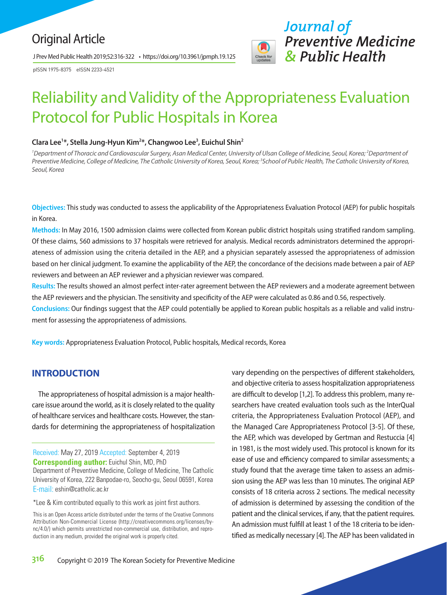# Original Article

J Prev Med Public Health 2019;52:316-322 • https://doi.org/10.3961/jpmph.19.125

pISSN 1975-8375 eISSN 2233-4521



# Reliability and Validity of the Appropriateness Evaluation Protocol for Public Hospitals in Korea

#### **Clara Lee1 \*, Stella Jung-Hyun Kim2 \*, Changwoo Lee3 , Euichul Shin2**

<sup>1</sup> Department of Thoracic and Cardiovascular Surgery, Asan Medical Center, University of Ulsan College of Medicine, Seoul, Korea; <sup>2</sup> Department of *Preventive Medicine, College of Medicine, The Catholic University of Korea, Seoul, Korea; 3 School of Public Health, The Catholic University of Korea, Seoul, Korea*

**Objectives:** This study was conducted to assess the applicability of the Appropriateness Evaluation Protocol (AEP) for public hospitals in Korea.

**Methods:** In May 2016, 1500 admission claims were collected from Korean public district hospitals using stratified random sampling. Of these claims, 560 admissions to 37 hospitals were retrieved for analysis. Medical records administrators determined the appropriateness of admission using the criteria detailed in the AEP, and a physician separately assessed the appropriateness of admission based on her clinical judgment. To examine the applicability of the AEP, the concordance of the decisions made between a pair of AEP reviewers and between an AEP reviewer and a physician reviewer was compared.

**Results:** The results showed an almost perfect inter-rater agreement between the AEP reviewers and a moderate agreement between the AEP reviewers and the physician. The sensitivity and specificity of the AEP were calculated as 0.86 and 0.56, respectively.

**Conclusions:** Our findings suggest that the AEP could potentially be applied to Korean public hospitals as a reliable and valid instrument for assessing the appropriateness of admissions.

**Key words:** Appropriateness Evaluation Protocol, Public hospitals, Medical records, Korea

#### **INTRODUCTION**

The appropriateness of hospital admission is a major healthcare issue around the world, as it is closely related to the quality of healthcare services and healthcare costs. However, the standards for determining the appropriateness of hospitalization

Received: May 27, 2019 Accepted: September 4, 2019 **Corresponding author:** Euichul Shin, MD, PhD Department of Preventive Medicine, College of Medicine, The Catholic University of Korea, 222 Banpodae-ro, Seocho-gu, Seoul 06591, Korea E-mail: eshin@catholic.ac.kr

\*Lee & Kim contributed equally to this work as joint first authors.

This is an Open Access article distributed under the terms of the Creative Commons Attribution Non-Commercial License (http://creativecommons.org/licenses/bync/4.0/) which permits unrestricted non-commercial use, distribution, and reproduction in any medium, provided the original work is properly cited.

vary depending on the perspectives of different stakeholders, and objective criteria to assess hospitalization appropriateness are difficult to develop [1,2]. To address this problem, many researchers have created evaluation tools such as the InterQual criteria, the Appropriateness Evaluation Protocol (AEP), and the Managed Care Appropriateness Protocol [3-5]. Of these, the AEP, which was developed by Gertman and Restuccia [4] in 1981, is the most widely used. This protocol is known for its ease of use and efficiency compared to similar assessments; a study found that the average time taken to assess an admission using the AEP was less than 10 minutes. The original AEP consists of 18 criteria across 2 sections. The medical necessity of admission is determined by assessing the condition of the patient and the clinical services, if any, that the patient requires. An admission must fulfill at least 1 of the 18 criteria to be identified as medically necessary [4]. The AEP has been validated in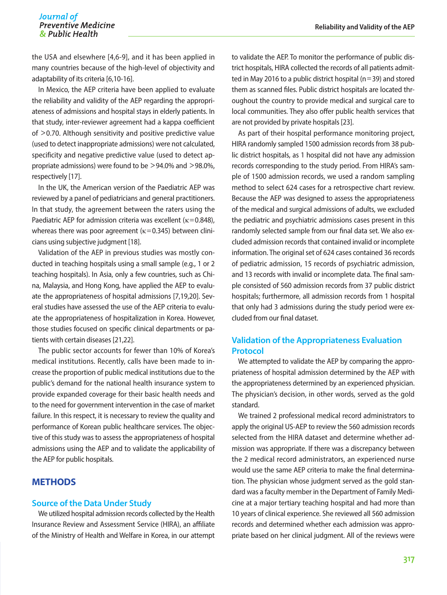# Journal of *Journal of* **Reliability and Validity of the AEP**

the USA and elsewhere [4,6-9], and it has been applied in many countries because of the high-level of objectivity and adaptability of its criteria [6,10-16].

In Mexico, the AEP criteria have been applied to evaluate the reliability and validity of the AEP regarding the appropriateness of admissions and hospital stays in elderly patients. In that study, inter-reviewer agreement had a kappa coefficient of >0.70. Although sensitivity and positive predictive value (used to detect inappropriate admissions) were not calculated, specificity and negative predictive value (used to detect appropriate admissions) were found to be >94.0% and >98.0%, respectively [17].

In the UK, the American version of the Paediatric AEP was reviewed by a panel of pediatricians and general practitioners. In that study, the agreement between the raters using the Paediatric AEP for admission criteria was excellent ( $\kappa$ =0.848), whereas there was poor agreement ( $\kappa$ =0.345) between clinicians using subjective judgment [18].

Validation of the AEP in previous studies was mostly conducted in teaching hospitals using a small sample (e.g., 1 or 2 teaching hospitals). In Asia, only a few countries, such as China, Malaysia, and Hong Kong, have applied the AEP to evaluate the appropriateness of hospital admissions [7,19,20]. Several studies have assessed the use of the AEP criteria to evaluate the appropriateness of hospitalization in Korea. However, those studies focused on specific clinical departments or patients with certain diseases [21,22].

The public sector accounts for fewer than 10% of Korea's medical institutions. Recently, calls have been made to increase the proportion of public medical institutions due to the public's demand for the national health insurance system to provide expanded coverage for their basic health needs and to the need for government intervention in the case of market failure. In this respect, it is necessary to review the quality and performance of Korean public healthcare services. The objective of this study was to assess the appropriateness of hospital admissions using the AEP and to validate the applicability of the AEP for public hospitals.

# **METHODS**

#### **Source of the Data Under Study**

We utilized hospital admission records collected by the Health Insurance Review and Assessment Service (HIRA), an affiliate of the Ministry of Health and Welfare in Korea, in our attempt to validate the AEP. To monitor the performance of public district hospitals, HIRA collected the records of all patients admitted in May 2016 to a public district hospital (n=39) and stored them as scanned files. Public district hospitals are located throughout the country to provide medical and surgical care to local communities. They also offer public health services that are not provided by private hospitals [23].

As part of their hospital performance monitoring project, HIRA randomly sampled 1500 admission records from 38 public district hospitals, as 1 hospital did not have any admission records corresponding to the study period. From HIRA's sample of 1500 admission records, we used a random sampling method to select 624 cases for a retrospective chart review. Because the AEP was designed to assess the appropriateness of the medical and surgical admissions of adults, we excluded the pediatric and psychiatric admissions cases present in this randomly selected sample from our final data set. We also excluded admission records that contained invalid or incomplete information. The original set of 624 cases contained 36 records of pediatric admission, 15 records of psychiatric admission, and 13 records with invalid or incomplete data. The final sample consisted of 560 admission records from 37 public district hospitals; furthermore, all admission records from 1 hospital that only had 3 admissions during the study period were excluded from our final dataset.

## **Validation of the Appropriateness Evaluation Protocol**

We attempted to validate the AEP by comparing the appropriateness of hospital admission determined by the AEP with the appropriateness determined by an experienced physician. The physician's decision, in other words, served as the gold standard.

We trained 2 professional medical record administrators to apply the original US-AEP to review the 560 admission records selected from the HIRA dataset and determine whether admission was appropriate. If there was a discrepancy between the 2 medical record administrators, an experienced nurse would use the same AEP criteria to make the final determination. The physician whose judgment served as the gold standard was a faculty member in the Department of Family Medicine at a major tertiary teaching hospital and had more than 10 years of clinical experience. She reviewed all 560 admission records and determined whether each admission was appropriate based on her clinical judgment. All of the reviews were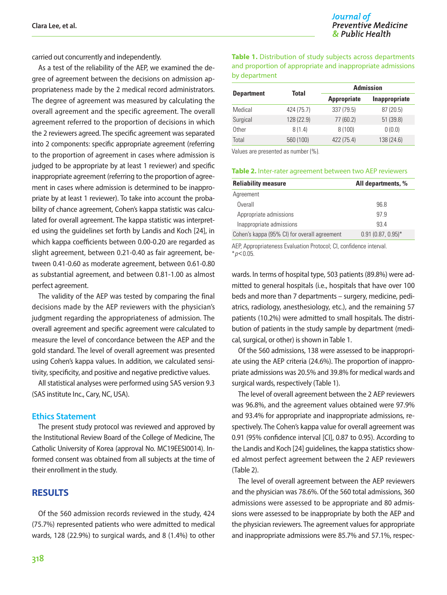carried out concurrently and independently.

As a test of the reliability of the AEP, we examined the degree of agreement between the decisions on admission appropriateness made by the 2 medical record administrators. The degree of agreement was measured by calculating the overall agreement and the specific agreement. The overall agreement referred to the proportion of decisions in which the 2 reviewers agreed. The specific agreement was separated into 2 components: specific appropriate agreement (referring to the proportion of agreement in cases where admission is judged to be appropriate by at least 1 reviewer) and specific inappropriate agreement (referring to the proportion of agreement in cases where admission is determined to be inappropriate by at least 1 reviewer). To take into account the probability of chance agreement, Cohen's kappa statistic was calculated for overall agreement. The kappa statistic was interpreted using the guidelines set forth by Landis and Koch [24], in which kappa coefficients between 0.00-0.20 are regarded as slight agreement, between 0.21-0.40 as fair agreement, between 0.41-0.60 as moderate agreement, between 0.61-0.80 as substantial agreement, and between 0.81-1.00 as almost perfect agreement.

The validity of the AEP was tested by comparing the final decisions made by the AEP reviewers with the physician's judgment regarding the appropriateness of admission. The overall agreement and specific agreement were calculated to measure the level of concordance between the AEP and the gold standard. The level of overall agreement was presented using Cohen's kappa values. In addition, we calculated sensitivity, specificity, and positive and negative predictive values.

All statistical analyses were performed using SAS version 9.3 (SAS institute Inc., Cary, NC, USA).

#### **Ethics Statement**

The present study protocol was reviewed and approved by the Institutional Review Board of the College of Medicine, The Catholic University of Korea (approval No. MC19EESI0014). Informed consent was obtained from all subjects at the time of their enrollment in the study.

#### **RESULTS**

Of the 560 admission records reviewed in the study, 424 (75.7%) represented patients who were admitted to medical wards, 128 (22.9%) to surgical wards, and 8 (1.4%) to other

#### **Table 1.** Distribution of study subjects across departments and proportion of appropriate and inappropriate admissions by department

| <b>Department</b> | Total      | <b>Admission</b>   |                      |
|-------------------|------------|--------------------|----------------------|
|                   |            | <b>Appropriate</b> | <b>Inappropriate</b> |
| Medical           | 424 (75.7) | 337 (79.5)         | 87 (20.5)            |
| Surgical          | 128 (22.9) | 77(60.2)           | 51(39.8)             |
| Other             | 8(1.4)     | 8(100)             | 0(0.0)               |
| Total             | 560 (100)  | 422 (75.4)         | 138 (24.6)           |

Values are presented as number (%).

| <b>Table 2.</b> Inter-rater agreement between two AEP reviewers |  |
|-----------------------------------------------------------------|--|
|                                                                 |  |

| <b>Reliability measure</b>                   | All departments, %   |
|----------------------------------------------|----------------------|
| Agreement                                    |                      |
| Overall                                      | 96.8                 |
| Appropriate admissions                       | 97.9                 |
| Inappropriate admissions                     | 934                  |
| Cohen's kappa (95% CI) for overall agreement | $0.91(0.87, 0.95)^*$ |

AEP, Appropriateness Evaluation Protocol; CI, confidence interval. \**p*<0.05.

wards. In terms of hospital type, 503 patients (89.8%) were admitted to general hospitals (i.e., hospitals that have over 100 beds and more than 7 departments – surgery, medicine, pediatrics, radiology, anesthesiology, etc.), and the remaining 57 patients (10.2%) were admitted to small hospitals. The distribution of patients in the study sample by department (medical, surgical, or other) is shown in Table 1.

Of the 560 admissions, 138 were assessed to be inappropriate using the AEP criteria (24.6%). The proportion of inappropriate admissions was 20.5% and 39.8% for medical wards and surgical wards, respectively (Table 1).

The level of overall agreement between the 2 AEP reviewers was 96.8%, and the agreement values obtained were 97.9% and 93.4% for appropriate and inappropriate admissions, respectively. The Cohen's kappa value for overall agreement was 0.91 (95% confidence interval [CI], 0.87 to 0.95). According to the Landis and Koch [24] guidelines, the kappa statistics showed almost perfect agreement between the 2 AEP reviewers (Table 2).

The level of overall agreement between the AEP reviewers and the physician was 78.6%. Of the 560 total admissions, 360 admissions were assessed to be appropriate and 80 admissions were assessed to be inappropriate by both the AEP and the physician reviewers. The agreement values for appropriate and inappropriate admissions were 85.7% and 57.1%, respec-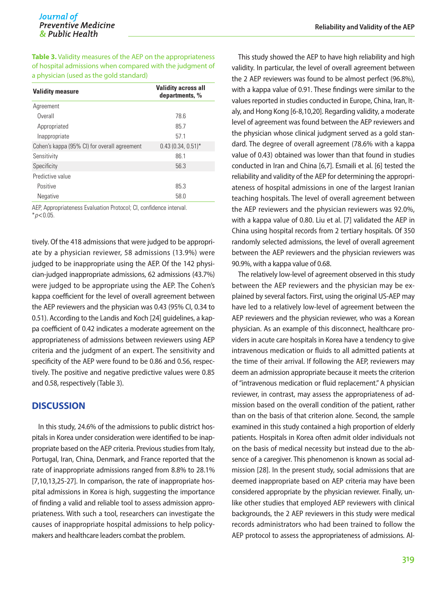**Table 3.** Validity measures of the AEP on the appropriateness of hospital admissions when compared with the judgment of a physician (used as the gold standard)

| <b>Validity measure</b>                      | <b>Validity across all</b><br>departments, % |
|----------------------------------------------|----------------------------------------------|
| Agreement                                    |                                              |
| Overall                                      | 78.6                                         |
| Appropriated                                 | 85.7                                         |
| Inappropriate                                | 57.1                                         |
| Cohen's kappa (95% CI) for overall agreement | $0.43(0.34, 0.51)$ *                         |
| Sensitivity                                  | 86.1                                         |
| Specificity                                  | 56.3                                         |
| Predictive value                             |                                              |
| Positive                                     | 85.3                                         |
| Negative                                     | 58.0                                         |

AEP, Appropriateness Evaluation Protocol; CI, confidence interval. \**p*<0.05.

tively. Of the 418 admissions that were judged to be appropriate by a physician reviewer, 58 admissions (13.9%) were judged to be inappropriate using the AEP. Of the 142 physician-judged inappropriate admissions, 62 admissions (43.7%) were judged to be appropriate using the AEP. The Cohen's kappa coefficient for the level of overall agreement between the AEP reviewers and the physician was 0.43 (95% CI, 0.34 to 0.51). According to the Landis and Koch [24] guidelines, a kappa coefficient of 0.42 indicates a moderate agreement on the appropriateness of admissions between reviewers using AEP criteria and the judgment of an expert. The sensitivity and specificity of the AEP were found to be 0.86 and 0.56, respectively. The positive and negative predictive values were 0.85 and 0.58, respectively (Table 3).

#### **DISCUSSION**

In this study, 24.6% of the admissions to public district hospitals in Korea under consideration were identified to be inappropriate based on the AEP criteria. Previous studies from Italy, Portugal, Iran, China, Denmark, and France reported that the rate of inappropriate admissions ranged from 8.8% to 28.1% [7,10,13,25-27]. In comparison, the rate of inappropriate hospital admissions in Korea is high, suggesting the importance of finding a valid and reliable tool to assess admission appropriateness. With such a tool, researchers can investigate the causes of inappropriate hospital admissions to help policymakers and healthcare leaders combat the problem.

This study showed the AEP to have high reliability and high validity. In particular, the level of overall agreement between the 2 AEP reviewers was found to be almost perfect (96.8%), with a kappa value of 0.91. These findings were similar to the values reported in studies conducted in Europe, China, Iran, Italy, and Hong Kong [6-8,10,20]. Regarding validity, a moderate level of agreement was found between the AEP reviewers and the physician whose clinical judgment served as a gold standard. The degree of overall agreement (78.6% with a kappa value of 0.43) obtained was lower than that found in studies conducted in Iran and China [6,7]. Esmaili et al. [6] tested the reliability and validity of the AEP for determining the appropriateness of hospital admissions in one of the largest Iranian teaching hospitals. The level of overall agreement between the AEP reviewers and the physician reviewers was 92.0%, with a kappa value of 0.80. Liu et al. [7] validated the AEP in China using hospital records from 2 tertiary hospitals. Of 350 randomly selected admissions, the level of overall agreement between the AEP reviewers and the physician reviewers was 90.9%, with a kappa value of 0.68.

The relatively low-level of agreement observed in this study between the AEP reviewers and the physician may be explained by several factors. First, using the original US-AEP may have led to a relatively low-level of agreement between the AEP reviewers and the physician reviewer, who was a Korean physician. As an example of this disconnect, healthcare providers in acute care hospitals in Korea have a tendency to give intravenous medication or fluids to all admitted patients at the time of their arrival. If following the AEP, reviewers may deem an admission appropriate because it meets the criterion of "intravenous medication or fluid replacement." A physician reviewer, in contrast, may assess the appropriateness of admission based on the overall condition of the patient, rather than on the basis of that criterion alone. Second, the sample examined in this study contained a high proportion of elderly patients. Hospitals in Korea often admit older individuals not on the basis of medical necessity but instead due to the absence of a caregiver. This phenomenon is known as social admission [28]. In the present study, social admissions that are deemed inappropriate based on AEP criteria may have been considered appropriate by the physician reviewer. Finally, unlike other studies that employed AEP reviewers with clinical backgrounds, the 2 AEP reviewers in this study were medical records administrators who had been trained to follow the AEP protocol to assess the appropriateness of admissions. Al-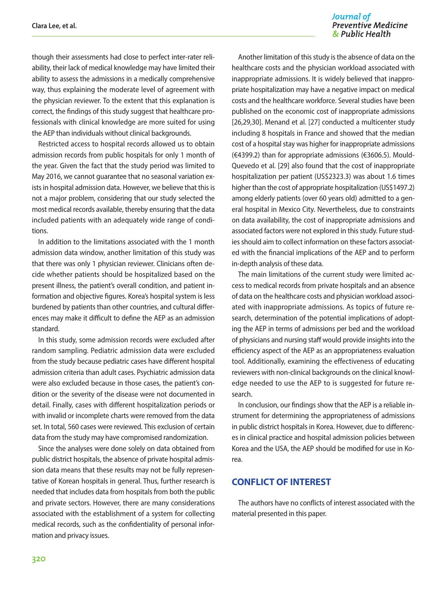Journal of **Preventive Medicine** & Public Health

though their assessments had close to perfect inter-rater reliability, their lack of medical knowledge may have limited their ability to assess the admissions in a medically comprehensive way, thus explaining the moderate level of agreement with the physician reviewer. To the extent that this explanation is correct, the findings of this study suggest that healthcare professionals with clinical knowledge are more suited for using the AEP than individuals without clinical backgrounds.

Restricted access to hospital records allowed us to obtain admission records from public hospitals for only 1 month of the year. Given the fact that the study period was limited to May 2016, we cannot guarantee that no seasonal variation exists in hospital admission data. However, we believe that this is not a major problem, considering that our study selected the most medical records available, thereby ensuring that the data included patients with an adequately wide range of conditions.

In addition to the limitations associated with the 1 month admission data window, another limitation of this study was that there was only 1 physician reviewer. Clinicians often decide whether patients should be hospitalized based on the present illness, the patient's overall condition, and patient information and objective figures. Korea's hospital system is less burdened by patients than other countries, and cultural differences may make it difficult to define the AEP as an admission standard.

In this study, some admission records were excluded after random sampling. Pediatric admission data were excluded from the study because pediatric cases have different hospital admission criteria than adult cases. Psychiatric admission data were also excluded because in those cases, the patient's condition or the severity of the disease were not documented in detail. Finally, cases with different hospitalization periods or with invalid or incomplete charts were removed from the data set. In total, 560 cases were reviewed. This exclusion of certain data from the study may have compromised randomization.

Since the analyses were done solely on data obtained from public district hospitals, the absence of private hospital admission data means that these results may not be fully representative of Korean hospitals in general. Thus, further research is needed that includes data from hospitals from both the public and private sectors. However, there are many considerations associated with the establishment of a system for collecting medical records, such as the confidentiality of personal information and privacy issues.

Another limitation of this study is the absence of data on the healthcare costs and the physician workload associated with inappropriate admissions. It is widely believed that inappropriate hospitalization may have a negative impact on medical costs and the healthcare workforce. Several studies have been published on the economic cost of inappropriate admissions [26,29,30]. Menand et al. [27] conducted a multicenter study including 8 hospitals in France and showed that the median cost of a hospital stay was higher for inappropriate admissions (€4399.2) than for appropriate admissions (€3606.5). Mould-Quevedo et al. [29] also found that the cost of inappropriate hospitalization per patient (US\$2323.3) was about 1.6 times higher than the cost of appropriate hospitalization (US\$1497.2) among elderly patients (over 60 years old) admitted to a general hospital in Mexico City. Nevertheless, due to constraints on data availability, the cost of inappropriate admissions and associated factors were not explored in this study. Future studies should aim to collect information on these factors associated with the financial implications of the AEP and to perform in-depth analysis of these data.

The main limitations of the current study were limited access to medical records from private hospitals and an absence of data on the healthcare costs and physician workload associated with inappropriate admissions. As topics of future research, determination of the potential implications of adopting the AEP in terms of admissions per bed and the workload of physicians and nursing staff would provide insights into the efficiency aspect of the AEP as an appropriateness evaluation tool. Additionally, examining the effectiveness of educating reviewers with non-clinical backgrounds on the clinical knowledge needed to use the AEP to is suggested for future research.

In conclusion, our findings show that the AEP is a reliable instrument for determining the appropriateness of admissions in public district hospitals in Korea. However, due to differences in clinical practice and hospital admission policies between Korea and the USA, the AEP should be modified for use in Korea.

## **CONFLICT OF INTEREST**

The authors have no conflicts of interest associated with the material presented in this paper.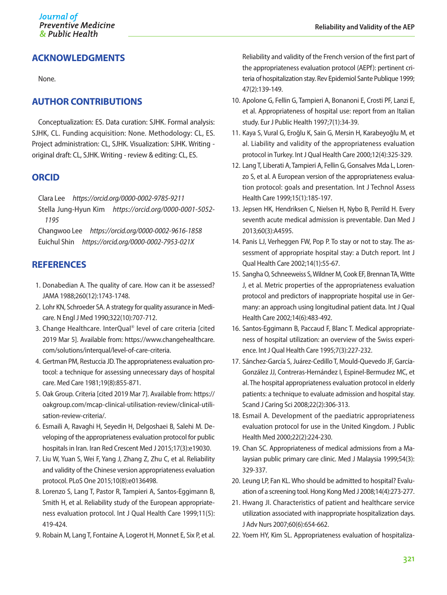# **ACKNOWLEDGMENTS**

None.

# **AUTHOR CONTRIBUTIONS**

Conceptualization: ES. Data curation: SJHK. Formal analysis: SJHK, CL. Funding acquisition: None. Methodology: CL, ES. Project administration: CL, SJHK. Visualization: SJHK. Writing original draft: CL, SJHK. Writing - review & editing: CL, ES.

## **ORCID**

Clara Lee *https://orcid.org/0000-0002-9785-9211* Stella Jung-Hyun Kim *https://orcid.org/0000-0001-5052- 1195*

Changwoo Lee *https://orcid.org/0000-0002-9616-1858* Euichul Shin *https://orcid.org/0000-0002-7953-021X*

# **REFERENCES**

- 1. Donabedian A. The quality of care. How can it be assessed? JAMA 1988;260(12):1743-1748.
- 2. Lohr KN, Schroeder SA. A strategy for quality assurance in Medicare. N Engl J Med 1990;322(10):707-712.
- 3. Change Healthcare. InterQual® level of care criteria [cited 2019 Mar 5]. Available from: https://www.changehealthcare. com/solutions/interqual/level-of-care-criteria.
- 4. Gertman PM, Restuccia JD. The appropriateness evaluation protocol: a technique for assessing unnecessary days of hospital care. Med Care 1981;19(8):855-871.
- 5. Oak Group. Criteria [cited 2019 Mar 7]. Available from: https:// oakgroup.com/mcap-clinical-utilisation-review/clinical-utilisation-review-criteria/.
- 6. Esmaili A, Ravaghi H, Seyedin H, Delgoshaei B, Salehi M. Developing of the appropriateness evaluation protocol for public hospitals in Iran. Iran Red Crescent Med J 2015;17(3):e19030.
- 7. Liu W, Yuan S, Wei F, Yang J, Zhang Z, Zhu C, et al. Reliability and validity of the Chinese version appropriateness evaluation protocol. PLoS One 2015;10(8):e0136498.
- 8. Lorenzo S, Lang T, Pastor R, Tampieri A, Santos-Eggimann B, Smith H, et al. Reliability study of the European appropriateness evaluation protocol. Int J Qual Health Care 1999;11(5): 419-424.
- 9. Robain M, Lang T, Fontaine A, Logerot H, Monnet E, Six P, et al.

Reliability and validity of the French version of the first part of the appropriateness evaluation protocol (AEPf): pertinent criteria of hospitalization stay. Rev Epidemiol Sante Publique 1999; 47(2):139-149.

- 10. Apolone G, Fellin G, Tampieri A, Bonanoni E, Crosti PF, Lanzi E, et al. Appropriateness of hospital use: report from an Italian study. Eur J Public Health 1997;7(1):34-39.
- 11. Kaya S, Vural G, Eroğlu K, Sain G, Mersin H, Karabeyoğlu M, et al. Liability and validity of the appropriateness evaluation protocol in Turkey. Int J Qual Health Care 2000;12(4):325-329.
- 12. Lang T, Liberati A, Tampieri A, Fellin G, Gonsalves Mda L, Lorenzo S, et al. A European version of the appropriateness evaluation protocol: goals and presentation. Int J Technol Assess Health Care 1999;15(1):185-197.
- 13. Jepsen HK, Hendriksen C, Nielsen H, Nybo B, Perrild H. Every seventh acute medical admission is preventable. Dan Med J 2013;60(3):A4595.
- 14. Panis LJ, Verheggen FW, Pop P. To stay or not to stay. The assessment of appropriate hospital stay: a Dutch report. Int J Qual Health Care 2002;14(1):55-67.
- 15. Sangha O, Schneeweiss S, Wildner M, Cook EF, Brennan TA, Witte J, et al. Metric properties of the appropriateness evaluation protocol and predictors of inappropriate hospital use in Germany: an approach using longitudinal patient data. Int J Qual Health Care 2002;14(6):483-492.
- 16. Santos-Eggimann B, Paccaud F, Blanc T. Medical appropriateness of hospital utilization: an overview of the Swiss experience. Int J Qual Health Care 1995;7(3):227-232.
- 17. Sánchez-García S, Juárez-Cedillo T, Mould-Quevedo JF, García-González JJ, Contreras-Hernández I, Espinel-Bermudez MC, et al. The hospital appropriateness evaluation protocol in elderly patients: a technique to evaluate admission and hospital stay. Scand J Caring Sci 2008;22(2):306-313.
- 18. Esmail A. Development of the paediatric appropriateness evaluation protocol for use in the United Kingdom. J Public Health Med 2000;22(2):224-230.
- 19. Chan SC. Appropriateness of medical admissions from a Malaysian public primary care clinic. Med J Malaysia 1999;54(3): 329-337.
- 20. Leung LP, Fan KL. Who should be admitted to hospital? Evaluation of a screening tool. Hong Kong Med J 2008;14(4):273-277.
- 21. Hwang JI. Characteristics of patient and healthcare service utilization associated with inappropriate hospitalization days. J Adv Nurs 2007;60(6):654-662.
- 22. Yoem HY, Kim SL. Appropriateness evaluation of hospitaliza-